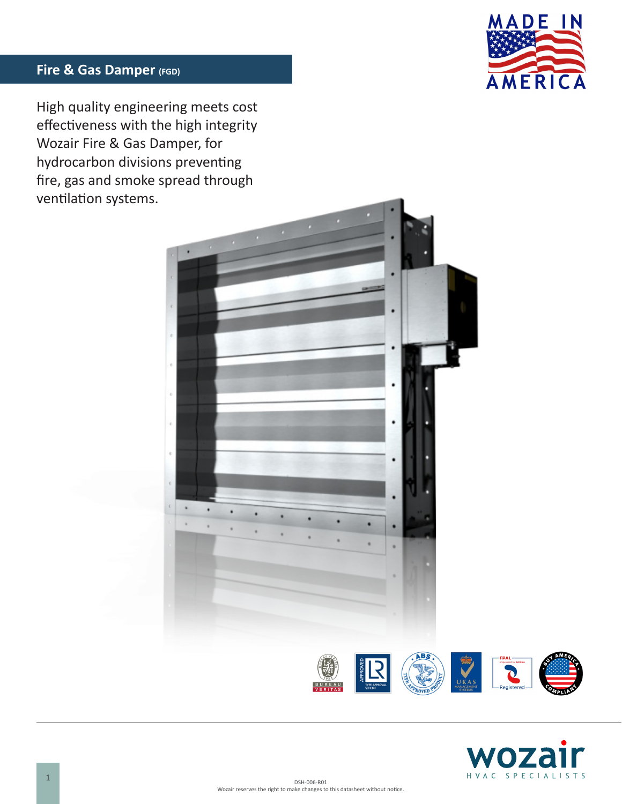

# **Fire & Gas Damper (FGD)**

High quality engineering meets cost effectiveness with the high integrity Wozair Fire & Gas Damper, for hydrocarbon divisions preventing fire, gas and smoke spread through ventilation systems.



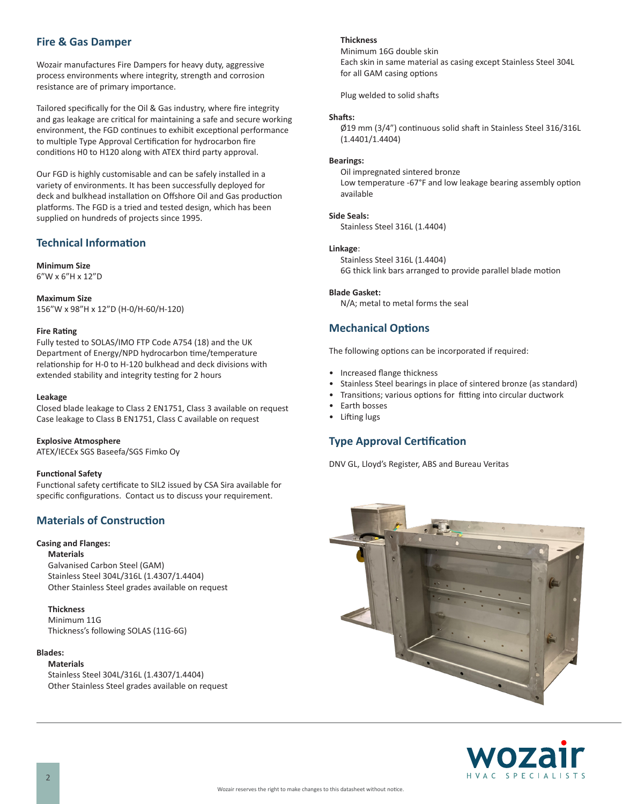## **Fire & Gas Damper**

Wozair manufactures Fire Dampers for heavy duty, aggressive process environments where integrity, strength and corrosion resistance are of primary importance.

Tailored specifically for the Oil & Gas industry, where fire integrity and gas leakage are critical for maintaining a safe and secure working environment, the FGD continues to exhibit exceptional performance to multiple Type Approval Certification for hydrocarbon fire conditions H0 to H120 along with ATEX third party approval.

Our FGD is highly customisable and can be safely installed in a variety of environments. It has been successfully deployed for deck and bulkhead installation on Offshore Oil and Gas production platforms. The FGD is a tried and tested design, which has been supplied on hundreds of projects since 1995.

## **Technical Information**

#### **Minimum Size** 6"W x 6"H x 12"D

**Maximum Size** 156"W x 98"H x 12"D (H-0/H-60/H-120)

### **Fire Rating**

Fully tested to SOLAS/IMO FTP Code A754 (18) and the UK Department of Energy/NPD hydrocarbon time/temperature relationship for H-0 to H-120 bulkhead and deck divisions with extended stability and integrity testing for 2 hours

#### **Leakage**

Closed blade leakage to Class 2 EN1751, Class 3 available on request Case leakage to Class B EN1751, Class C available on request

#### **Explosive Atmosphere**

ATEX/IECEx SGS Baseefa/SGS Fimko Oy

### **Functional Safety**

Functional safety certificate to SIL2 issued by CSA Sira available for specific configurations. Contact us to discuss your requirement.

## **Materials of Construction**

### **Casing and Flanges:**

**Materials**

Galvanised Carbon Steel (GAM) Stainless Steel 304L/316L (1.4307/1.4404) Other Stainless Steel grades available on request

## **Thickness**

Minimum 11G Thickness's following SOLAS (11G-6G)

## **Blades:**

**Materials** Stainless Steel 304L/316L (1.4307/1.4404) Other Stainless Steel grades available on request

#### **Thickness**

Minimum 16G double skin Each skin in same material as casing except Stainless Steel 304L for all GAM casing options

Plug welded to solid shafts

## **Shafts:**

Ø19 mm (3/4") continuous solid shaft in Stainless Steel 316/316L (1.4401/1.4404)

## **Bearings:**

Oil impregnated sintered bronze Low temperature -67°F and low leakage bearing assembly option available

## **Side Seals:**

Stainless Steel 316L (1.4404)

## **Linkage**:

Stainless Steel 316L (1.4404) 6G thick link bars arranged to provide parallel blade motion

#### **Blade Gasket:**

N/A; metal to metal forms the seal

## **Mechanical Options**

The following options can be incorporated if required:

- Increased flange thickness
- Stainless Steel bearings in place of sintered bronze (as standard)
- Transitions; various options for fitting into circular ductwork
- Earth bosses
- Lifting lugs

## **Type Approval Certification**

DNV GL, Lloyd's Register, ABS and Bureau Veritas



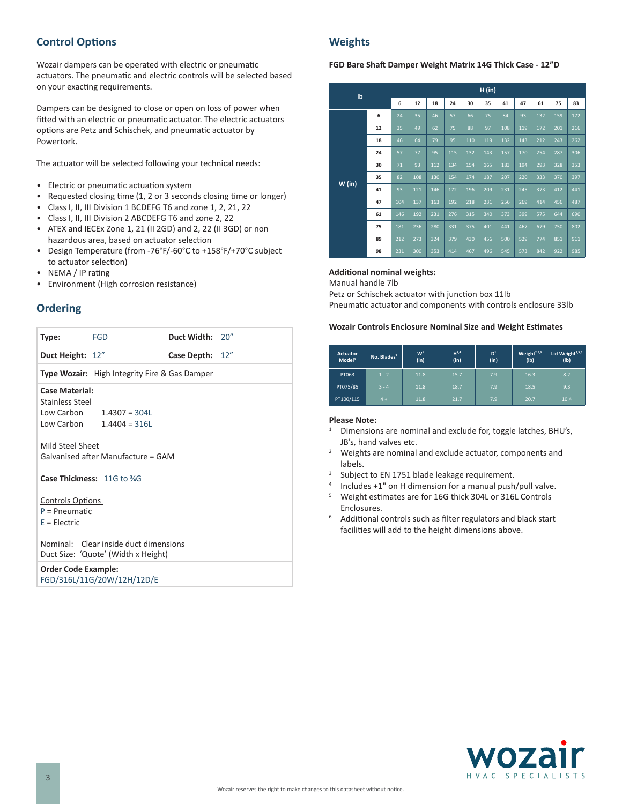# **Control Options**

Wozair dampers can be operated with electric or pneumatic actuators. The pneumatic and electric controls will be selected based on your exacting requirements.

Dampers can be designed to close or open on loss of power when fitted with an electric or pneumatic actuator. The electric actuators options are Petz and Schischek, and pneumatic actuator by Powertork.

The actuator will be selected following your technical needs:

- Electric or pneumatic actuation system
- Requested closing time (1, 2 or 3 seconds closing time or longer)
- Class I, II, III Division 1 BCDEFG T6 and zone 1, 2, 21, 22
- Class I, II, III Division 2 ABCDEFG T6 and zone 2, 22
- ATEX and IECEx Zone 1, 21 (II 2GD) and 2, 22 (II 3GD) or non hazardous area, based on actuator selection
- Design Temperature (from -76°F/-60°C to +158°F/+70°C subject to actuator selection)
- NEMA / IP rating
- Environment (High corrosion resistance)

# **Ordering**

| Type:                                                                                                | <b>FGD</b>                                           | Duct Width: 20" |  |  |  |  |  |
|------------------------------------------------------------------------------------------------------|------------------------------------------------------|-----------------|--|--|--|--|--|
| Duct Height: 12"                                                                                     |                                                      | Case Depth: 12" |  |  |  |  |  |
|                                                                                                      | <b>Type Wozair:</b> High Integrity Fire & Gas Damper |                 |  |  |  |  |  |
| <b>Case Material:</b><br>Stainless Steel<br>Low Carbon $1.4307 = 304L$<br>Low Carbon $1.4404 = 316L$ |                                                      |                 |  |  |  |  |  |
| Mild Steel Sheet<br>Galvanised after Manufacture = GAM                                               |                                                      |                 |  |  |  |  |  |
| Case Thickness: 11G to %G                                                                            |                                                      |                 |  |  |  |  |  |
| <b>Controls Options</b><br>$P = P$ neumatic<br>$E = Electric$                                        |                                                      |                 |  |  |  |  |  |
| Nominal: Clear inside duct dimensions<br>Duct Size: 'Quote' (Width x Height)                         |                                                      |                 |  |  |  |  |  |
| <b>Order Code Example:</b>                                                                           |                                                      |                 |  |  |  |  |  |

FGD/316L/11G/20W/12H/12D/E

## **Weights**

### **FGD Bare Shaft Damper Weight Matrix 14G Thick Case - 12"D**

| Ib     |    | H (in) |     |     |     |     |     |     |     |     |     |     |
|--------|----|--------|-----|-----|-----|-----|-----|-----|-----|-----|-----|-----|
|        |    | 6      | 12  | 18  | 24  | 30  | 35  | 41  | 47  | 61  | 75  | 83  |
| W (in) | 6  | 24     | 35  | 46  | 57  | 66  | 75  | 84  | 93  | 132 | 159 | 172 |
|        | 12 | 35     | 49  | 62  | 75  | 88  | 97  | 108 | 119 | 172 | 201 | 216 |
|        | 18 | 46     | 64  | 79  | 95  | 110 | 119 | 132 | 143 | 212 | 243 | 262 |
|        | 24 | 57     | 77  | 95  | 115 | 132 | 143 | 157 | 170 | 254 | 287 | 306 |
|        | 30 | 71     | 93  | 112 | 134 | 154 | 165 | 183 | 194 | 293 | 328 | 353 |
|        | 35 | 82     | 108 | 130 | 154 | 174 | 187 | 207 | 220 | 333 | 370 | 397 |
|        | 41 | 93     | 121 | 146 | 172 | 196 | 209 | 231 | 245 | 373 | 412 | 441 |
|        | 47 | 104    | 137 | 163 | 192 | 218 | 231 | 256 | 269 | 414 | 456 | 487 |
|        | 61 | 146    | 192 | 231 | 276 | 315 | 340 | 373 | 399 | 575 | 644 | 690 |
|        | 75 | 181    | 236 | 280 | 331 | 375 | 401 | 441 | 467 | 679 | 750 | 802 |
|        | 89 | 212    | 273 | 324 | 379 | 430 | 456 | 500 | 529 | 774 | 851 | 911 |
|        | 98 | 231    | 300 | 353 | 414 | 467 | 496 | 545 | 573 | 842 | 922 | 985 |

## **Additional nominal weights:**

Manual handle 7lb

Petz or Schischek actuator with junction box 11lb

Pneumatic actuator and components with controls enclosure 33lb

#### **Wozair Controls Enclosure Nominal Size and Weight Estimates**

| <b>Actuator</b><br>Model <sup>3</sup> | No. Blades <sup>3</sup> | W <sup>1</sup><br>(in) | $H^{1,4}$<br>(in) | D <sup>1</sup><br>(in) | Weight <sup>2,5,6</sup><br>(1b) | Lid Weight <sup>2,5,6</sup><br>(1b) |
|---------------------------------------|-------------------------|------------------------|-------------------|------------------------|---------------------------------|-------------------------------------|
| PT063                                 | $1 - 2$                 | 11.8                   | 15.7              | 7.9                    | 16.3                            | 8.2                                 |
| PT075/85                              | $3 - 4$                 | 11.8                   | 18.7              | 7.9                    | 18.5                            | 9.3                                 |
| PT100/115                             | $4 +$                   | 11.8                   | 21.7              | 7.9                    | 20.7                            | 10.4                                |

### **Please Note:**

- <sup>1</sup> Dimensions are nominal and exclude for, toggle latches, BHU's, JB's, hand valves etc.
- <sup>2</sup> Weights are nominal and exclude actuator, components and labels.<br><sup>3</sup> Subject to EN 1751 blade leakage requirement.
- 
- <sup>4</sup> Includes  $+1$ " on H dimension for a manual push/pull valve.<br>
<sup>5</sup> Moinht ostimates are for 16G thick 2041 or 216L Controls
- <sup>5</sup> Weight estimates are for 16G thick 304L or 316L Controls Enclosures.
- <sup>6</sup> Additional controls such as filter regulators and black start facilities will add to the height dimensions above.

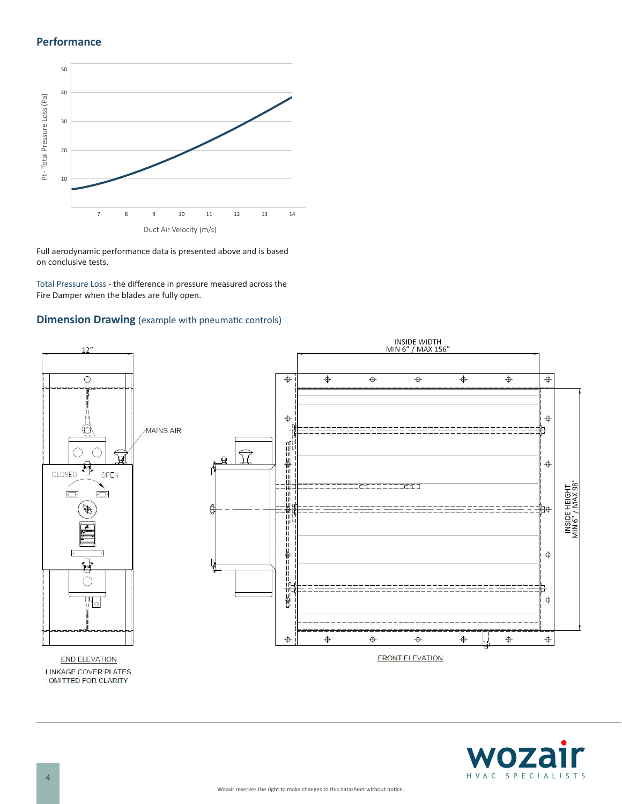## **Performance**



Full aerodynamic performance data is presented above and is based on conclusive tests.

Total Pressure Loss - the difference in pressure measured across the Fire Damper when the blades are fully open.

## **Dimension Drawing** (example with pneumatic controls)